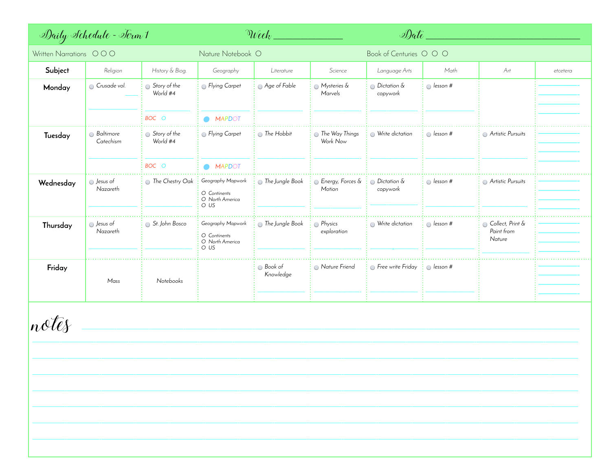| Written Narrations OOO<br>Religion<br>Crusade vol. | History & Biog.<br>Story of the<br>World #4 | Nature Notebook O<br>Geography<br><b>Elying Carpet</b>       | Literature<br>Age of Fable | Science<br>Mysteries &     | Book of Centuries O O O<br>Language Arts<br>$\odot$ Dictation $\&$ | Math             | Art                                      | etcetera |
|----------------------------------------------------|---------------------------------------------|--------------------------------------------------------------|----------------------------|----------------------------|--------------------------------------------------------------------|------------------|------------------------------------------|----------|
|                                                    |                                             |                                                              |                            |                            |                                                                    |                  |                                          |          |
|                                                    |                                             |                                                              |                            |                            |                                                                    |                  |                                          |          |
|                                                    |                                             |                                                              |                            | Marvels                    | copywork                                                           | $\odot$ lesson # |                                          |          |
|                                                    | BOC O                                       | OMAPDOT                                                      |                            |                            |                                                                    |                  |                                          |          |
| <b>Baltimore</b><br>Catechism                      | Story of the<br>World #4                    | <b>Flying Carpet</b>                                         | <b>The Hobbit</b>          | The Way Things<br>Work Now | Write dictation                                                    | $\odot$ lesson # | Artistic Pursuits                        |          |
|                                                    | BOC O                                       | OMAPDOT                                                      |                            |                            |                                                                    |                  |                                          |          |
| S Jesus of<br>Nazareth                             | The Chestry Oak                             | Geography Mapwork<br>O Continents<br>O North America<br>O US | The Jungle Book            | Energy, Forces &<br>Motion | $\odot$ Dictation &<br>copywork                                    | $\odot$ lesson # | Artistic Pursuits                        |          |
| S Jesus of<br>Nazareth                             | St. John Bosco                              | Geography Mapwork<br>O Continents<br>O North America<br>O US | The Jungle Book            | Rhysics<br>exploration     | Write dictation                                                    | $\odot$ lesson # | Collect, Print &<br>Paint from<br>Nature |          |
| Mass                                               | Notebooks                                   |                                                              | Book of<br>Knowledge       | Nature Friend              | <b>Execute</b> Friday                                              | $\odot$ lesson # |                                          |          |
|                                                    |                                             |                                                              |                            |                            |                                                                    |                  |                                          |          |
|                                                    |                                             |                                                              |                            |                            |                                                                    |                  |                                          |          |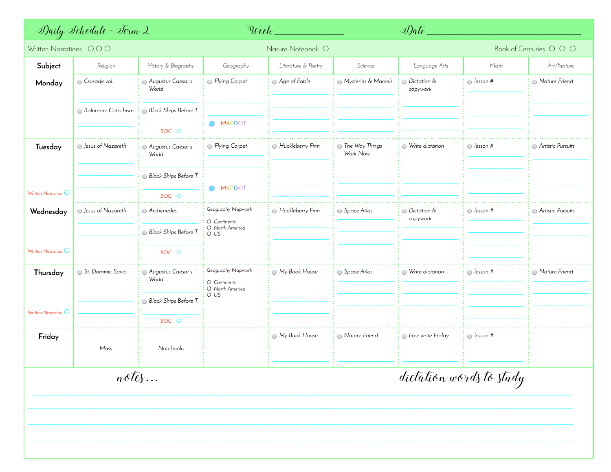| Daily Schedule - Torm 2              |                            |                            | $\Im$ <i>Veek</i>                                            |                     |                            | Date_                              |                  |                   |  |  |
|--------------------------------------|----------------------------|----------------------------|--------------------------------------------------------------|---------------------|----------------------------|------------------------------------|------------------|-------------------|--|--|
| Written Narrations OOO               |                            |                            | Nature Notebook O                                            |                     |                            | Book of Centuries O O O            |                  |                   |  |  |
| Subject                              | Religion                   | History & Biography        | Geography                                                    | Literature & Poetry | Science                    | Language Arts                      | Math             | Art/Nature        |  |  |
| Monday                               | G Crusade vol.             | Augustus Caesar's<br>World | Rying Carpet                                                 | Age of Fable        | Mysteries & Marvels        | $\odot$ Dictation &<br>copywork    | $\odot$ lesson # | Nature Friend     |  |  |
|                                      | <b>Baltimore Catechism</b> | Black Ships Before T.      |                                                              |                     |                            |                                    |                  |                   |  |  |
|                                      |                            | BOC O                      | OMAPDOT                                                      |                     |                            |                                    |                  |                   |  |  |
| Tuesday                              | S Jesus of Nazareth        | Augustus Caesar's<br>World | <b>B</b> Flying Carpet                                       | Huckleberry Finn    | The Way Things<br>Work Now | Write dictation                    | $\odot$ lesson # | Artistic Pursuits |  |  |
|                                      |                            | Black Ships Before T.      |                                                              |                     |                            |                                    |                  |                   |  |  |
| Written Narration $\bigcirc$         |                            | BOC O                      | MAPDOT                                                       |                     |                            |                                    |                  |                   |  |  |
| Wednesday                            | S Jesus of Nazareth        | Archimedes                 | Geography Mapwork<br>O Continents                            | Huckleberry Finn    | Space Atlas                | <b>Dictation &amp;</b><br>copywork | $\odot$ lesson # | Artistic Pursuits |  |  |
|                                      |                            | Black Ships Before T.      | O North America<br>O US                                      |                     |                            |                                    |                  |                   |  |  |
| Written Narration $O$                |                            | BOC O                      |                                                              |                     |                            |                                    |                  |                   |  |  |
| Thursday                             | St. Dominic Savio          | Augustus Caesar's<br>World | Geography Mapwork<br>O Continents<br>O North America<br>O US | My Book House       | Space Atlas                | Write dictation                    | $\odot$ lesson # | Nature Friend     |  |  |
| Written Narration $\bigcirc$         |                            | Black Ships Before T.      |                                                              |                     |                            |                                    |                  |                   |  |  |
|                                      |                            | BOC O                      |                                                              |                     |                            |                                    |                  |                   |  |  |
| Friday                               | Mass                       | Notebooks                  |                                                              | My Book House       | Nature Friend              | <b>Free write Friday</b>           | $\odot$ lesson # |                   |  |  |
| dictation words to study<br>$n$ otes |                            |                            |                                                              |                     |                            |                                    |                  |                   |  |  |
|                                      |                            |                            |                                                              |                     |                            |                                    |                  |                   |  |  |
|                                      |                            |                            |                                                              |                     |                            |                                    |                  |                   |  |  |
|                                      |                            |                            |                                                              |                     |                            |                                    |                  |                   |  |  |